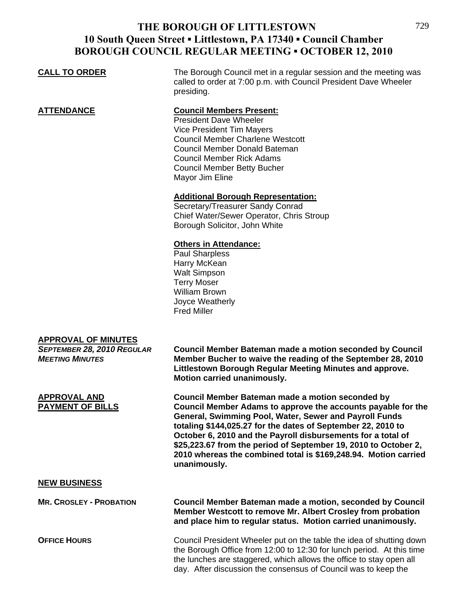## **THE BOROUGH OF LITTLESTOWN 10 South Queen Street ▪ Littlestown, PA 17340 ▪ Council Chamber BOROUGH COUNCIL REGULAR MEETING ▪ OCTOBER 12, 2010**

| <b>CALL TO ORDER</b>                                                               | The Borough Council met in a regular session and the meeting was<br>called to order at 7:00 p.m. with Council President Dave Wheeler<br>presiding.                                                                                                                                                                                                                                                                                                               |
|------------------------------------------------------------------------------------|------------------------------------------------------------------------------------------------------------------------------------------------------------------------------------------------------------------------------------------------------------------------------------------------------------------------------------------------------------------------------------------------------------------------------------------------------------------|
| <u>ATTENDANCE</u>                                                                  | <b>Council Members Present:</b><br><b>President Dave Wheeler</b><br><b>Vice President Tim Mayers</b><br><b>Council Member Charlene Westcott</b><br>Council Member Donald Bateman<br><b>Council Member Rick Adams</b><br><b>Council Member Betty Bucher</b><br>Mayor Jim Eline                                                                                                                                                                                    |
|                                                                                    | <b>Additional Borough Representation:</b><br>Secretary/Treasurer Sandy Conrad<br>Chief Water/Sewer Operator, Chris Stroup<br>Borough Solicitor, John White                                                                                                                                                                                                                                                                                                       |
|                                                                                    | <b>Others in Attendance:</b><br><b>Paul Sharpless</b><br>Harry McKean<br><b>Walt Simpson</b><br><b>Terry Moser</b><br><b>William Brown</b><br>Joyce Weatherly<br><b>Fred Miller</b>                                                                                                                                                                                                                                                                              |
| <b>APPROVAL OF MINUTES</b><br>SEPTEMBER 28, 2010 REGULAR<br><b>MEETING MINUTES</b> | <b>Council Member Bateman made a motion seconded by Council</b><br>Member Bucher to waive the reading of the September 28, 2010<br>Littlestown Borough Regular Meeting Minutes and approve.<br>Motion carried unanimously.                                                                                                                                                                                                                                       |
| <b>APPROVAL AND</b><br><b>PAYMENT OF BILLS</b>                                     | Council Member Bateman made a motion seconded by<br>Council Member Adams to approve the accounts payable for the<br>General, Swimming Pool, Water, Sewer and Payroll Funds<br>totaling \$144,025.27 for the dates of September 22, 2010 to<br>October 6, 2010 and the Payroll disbursements for a total of<br>\$25,223.67 from the period of September 19, 2010 to October 2,<br>2010 whereas the combined total is \$169,248.94. Motion carried<br>unanimously. |
| <b>NEW BUSINESS</b>                                                                |                                                                                                                                                                                                                                                                                                                                                                                                                                                                  |
| <b>MR. CROSLEY - PROBATION</b>                                                     | <b>Council Member Bateman made a motion, seconded by Council</b><br>Member Westcott to remove Mr. Albert Crosley from probation<br>and place him to regular status. Motion carried unanimously.                                                                                                                                                                                                                                                                  |
| <b>OFFICE HOURS</b>                                                                | Council President Wheeler put on the table the idea of shutting down                                                                                                                                                                                                                                                                                                                                                                                             |

the Borough Office from 12:00 to 12:30 for lunch period. At this time the lunches are staggered, which allows the office to stay open all day. After discussion the consensus of Council was to keep the